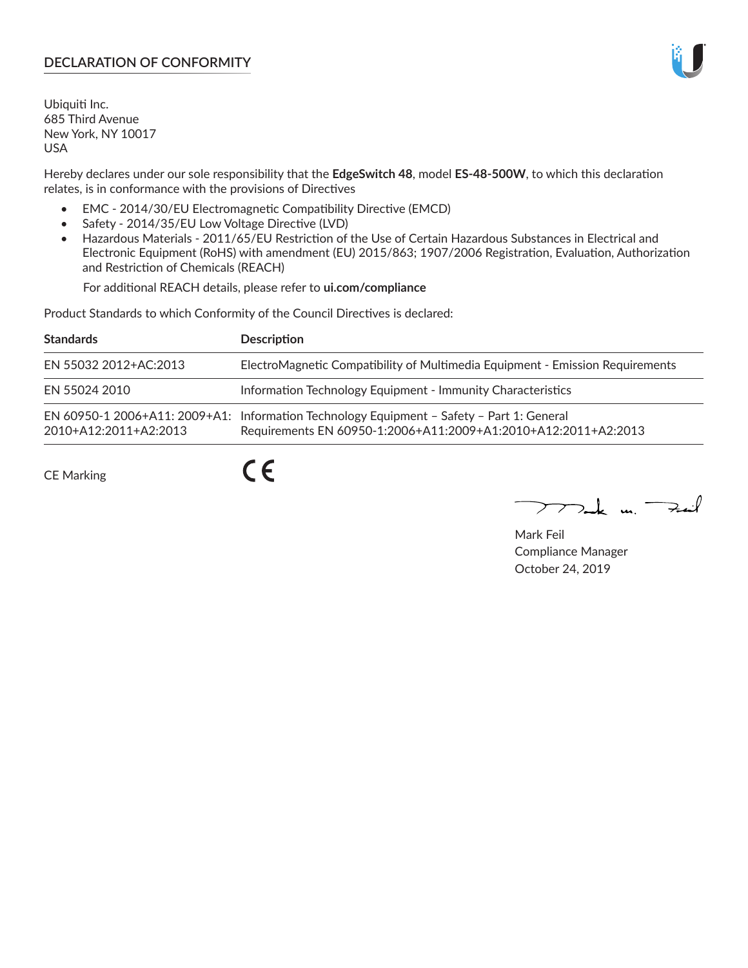# **DECLARATION OF CONFORMITY**

Ubiquiti Inc. 685 Third Avenue New York, NY 10017 USA

Hereby declares under our sole responsibility that the **EdgeSwitch 48**, model **ES-48-500W**, to which this declaration relates, is in conformance with the provisions of Directives

- EMC 2014/30/EU Electromagnetic Compatibility Directive (EMCD)
- Safety 2014/35/EU Low Voltage Directive (LVD)
- Hazardous Materials 2011/65/EU Restriction of the Use of Certain Hazardous Substances in Electrical and Electronic Equipment (RoHS) with amendment (EU) 2015/863; 1907/2006 Registration, Evaluation, Authorization and Restriction of Chemicals (REACH)

For additional REACH details, please refer to **ui.com/compliance**

Product Standards to which Conformity of the Council Directives is declared:

| <b>Standards</b>      | <b>Description</b>                                                                                                                                          |
|-----------------------|-------------------------------------------------------------------------------------------------------------------------------------------------------------|
| EN 55032 2012+AC:2013 | ElectroMagnetic Compatibility of Multimedia Equipment - Emission Requirements                                                                               |
| EN 55024 2010         | Information Technology Equipment - Immunity Characteristics                                                                                                 |
| 2010+A12:2011+A2:2013 | EN 60950-1 2006+A11: 2009+A1: Information Technology Equipment - Safety - Part 1: General<br>Requirements EN 60950-1:2006+A11:2009+A1:2010+A12:2011+A2:2013 |
| CE Marking            |                                                                                                                                                             |

CE Marking

 $\nabla$ ak m $\nabla$ zail

Mark Feil Compliance Manager October 24, 2019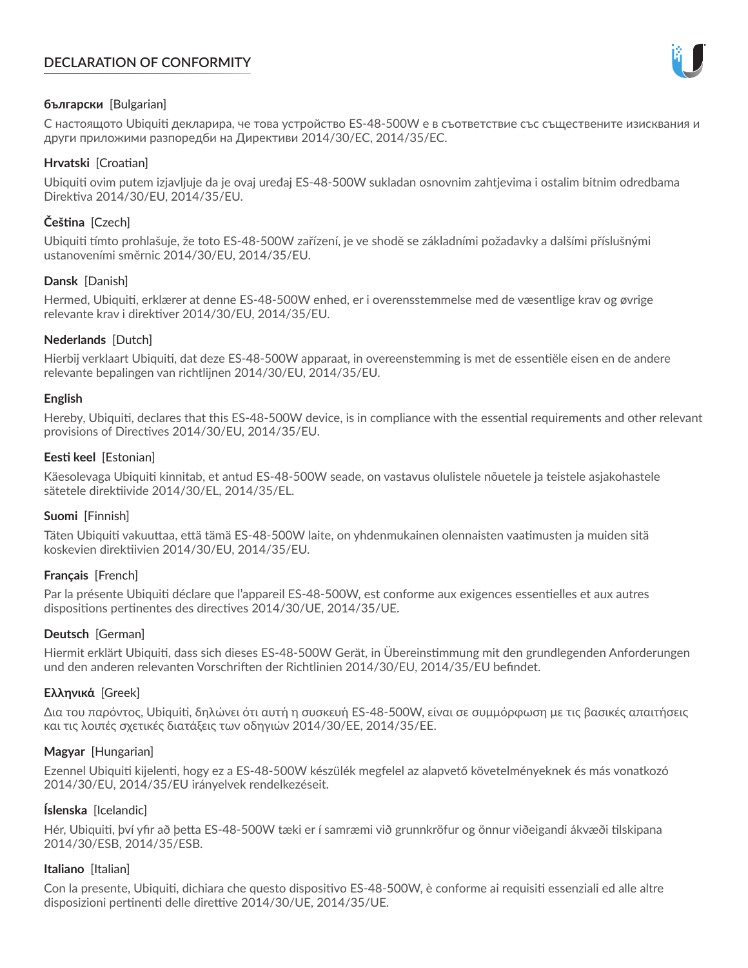# **DECLARATION OF CONFORMITY**



## **български** [Bulgarian]

С настоящото Ubiquiti декларира, че това устройство ES-48-500W е в съответствие със съществените изисквания и други приложими разпоредби на Директиви 2014/30/ЕС, 2014/35/ЕС.

## **Hrvatski** [Croatian]

Ubiquiti ovim putem izjavljuje da je ovaj uređaj ES-48-500W sukladan osnovnim zahtjevima i ostalim bitnim odredbama Direktiva 2014/30/EU, 2014/35/EU.

# **Čeština** [Czech]

Ubiquiti tímto prohlašuje, že toto ES-48-500W zařízení, je ve shodě se základními požadavky a dalšími příslušnými ustanoveními směrnic 2014/30/EU, 2014/35/EU.

## **Dansk** [Danish]

Hermed, Ubiquiti, erklærer at denne ES-48-500W enhed, er i overensstemmelse med de væsentlige krav og øvrige relevante krav i direktiver 2014/30/EU, 2014/35/EU.

## **Nederlands** [Dutch]

Hierbij verklaart Ubiquiti, dat deze ES-48-500W apparaat, in overeenstemming is met de essentiële eisen en de andere relevante bepalingen van richtlijnen 2014/30/EU, 2014/35/EU.

### **English**

Hereby, Ubiquiti, declares that this ES-48-500W device, is in compliance with the essential requirements and other relevant provisions of Directives 2014/30/EU, 2014/35/EU.

### **Eesti keel** [Estonian]

Käesolevaga Ubiquiti kinnitab, et antud ES-48-500W seade, on vastavus olulistele nõuetele ja teistele asjakohastele sätetele direktiivide 2014/30/EL, 2014/35/EL.

### **Suomi** [Finnish]

Täten Ubiquiti vakuuttaa, että tämä ES-48-500W laite, on yhdenmukainen olennaisten vaatimusten ja muiden sitä koskevien direktiivien 2014/30/EU, 2014/35/EU.

### **Français** [French]

Par la présente Ubiquiti déclare que l'appareil ES-48-500W, est conforme aux exigences essentielles et aux autres dispositions pertinentes des directives 2014/30/UE, 2014/35/UE.

### **Deutsch** [German]

Hiermit erklärt Ubiquiti, dass sich dieses ES-48-500W Gerät, in Übereinstimmung mit den grundlegenden Anforderungen und den anderen relevanten Vorschriften der Richtlinien 2014/30/EU, 2014/35/EU befindet.

### **Ελληνικά** [Greek]

Δια του παρόντος, Ubiquiti, δηλώνει ότι αυτή η συσκευή ES-48-500W, είναι σε συμμόρφωση με τις βασικές απαιτήσεις και τις λοιπές σχετικές διατάξεις των οδηγιών 2014/30/EE, 2014/35/EE.

### **Magyar** [Hungarian]

Ezennel Ubiquiti kijelenti, hogy ez a ES-48-500W készülék megfelel az alapvető követelményeknek és más vonatkozó 2014/30/EU, 2014/35/EU irányelvek rendelkezéseit.

### **Íslenska** [Icelandic]

Hér, Ubiquiti, því yfir að þetta ES-48-500W tæki er í samræmi við grunnkröfur og önnur viðeigandi ákvæði tilskipana 2014/30/ESB, 2014/35/ESB.

### **Italiano** [Italian]

Con la presente, Ubiquiti, dichiara che questo dispositivo ES-48-500W, è conforme ai requisiti essenziali ed alle altre disposizioni pertinenti delle direttive 2014/30/UE, 2014/35/UE.